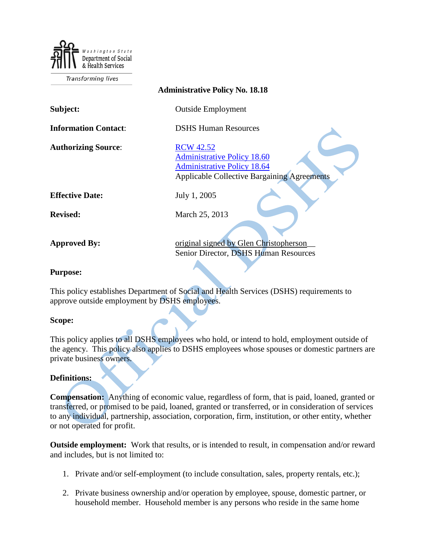Department of Social & Health Services

**Transforming lives** 

| <b>Administrative Policy No. 18.18</b> |                                                                                                                                                    |
|----------------------------------------|----------------------------------------------------------------------------------------------------------------------------------------------------|
| Subject:                               | <b>Outside Employment</b>                                                                                                                          |
| <b>Information Contact:</b>            | <b>DSHS Human Resources</b>                                                                                                                        |
| <b>Authorizing Source:</b>             | <b>RCW</b> 42.52<br><b>Administrative Policy 18.60</b><br><b>Administrative Policy 18.64</b><br><b>Applicable Collective Bargaining Agreements</b> |
| <b>Effective Date:</b>                 | July 1, 2005                                                                                                                                       |
| <b>Revised:</b>                        | March 25, 2013                                                                                                                                     |
| <b>Approved By:</b>                    | original signed by Glen Christopherson<br>Senior Director, DSHS Human Resources                                                                    |

## **Purpose:**

This policy establishes Department of Social and Health Services (DSHS) requirements to approve outside employment by DSHS employees.

## **Scope:**

This policy applies to all DSHS employees who hold, or intend to hold, employment outside of the agency. This policy also applies to DSHS employees whose spouses or domestic partners are private business owners.

## **Definitions:**

**Compensation:** Anything of economic value, regardless of form, that is paid, loaned, granted or transferred, or promised to be paid, loaned, granted or transferred, or in consideration of services to any individual, partnership, association, corporation, firm, institution, or other entity, whether or not operated for profit.

**Outside employment:** Work that results, or is intended to result, in compensation and/or reward and includes, but is not limited to:

- 1. Private and/or self-employment (to include consultation, sales, property rentals, etc.);
- 2. Private business ownership and/or operation by employee, spouse, domestic partner, or household member. Household member is any persons who reside in the same home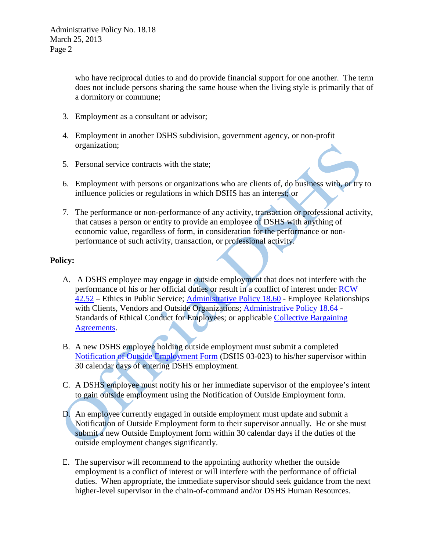who have reciprocal duties to and do provide financial support for one another. The term does not include persons sharing the same house when the living style is primarily that of a dormitory or commune;

- 3. Employment as a consultant or advisor;
- 4. Employment in another DSHS subdivision, government agency, or non-profit organization;
- 5. Personal service contracts with the state;
- 6. Employment with persons or organizations who are clients of, do business with, or try to influence policies or regulations in which DSHS has an interest; or
- 7. The performance or non-performance of any activity, transaction or professional activity, that causes a person or entity to provide an employee of DSHS with anything of economic value, regardless of form, in consideration for the performance or nonperformance of such activity, transaction, or professional activity.

## **Policy:**

- A. A DSHS employee may engage in outside employment that does not interfere with the performance of his or her official duties or result in a conflict of interest under [RCW](http://apps.leg.wa.gov/RCW/default.aspx?cite=42.52)  [42.52](http://apps.leg.wa.gov/RCW/default.aspx?cite=42.52) – Ethics in Public Service; [Administrative Policy 18.60](http://one.dshs.wa.lcl/Policies/Administrative/DSHS-AP-18-60.pdf) - Employee Relationships with Clients, Vendors and Outside Organizations; [Administrative Policy 18.64](http://one.dshs.wa.lcl/Policies/Administrative/DSHS-AP-18-64.pdf) -Standards of Ethical Conduct for Employees; or applicable [Collective Bargaining](http://hrd.dshs.wa.gov/Operations/Labor_Relations/Labor_Relations_CBAs.htm)  [Agreements.](http://hrd.dshs.wa.gov/Operations/Labor_Relations/Labor_Relations_CBAs.htm)
- B. A new DSHS employee holding outside employment must submit a completed [Notification of Outside Employment](http://hrd.dshs.wa.gov/Top_Toolbar/HRD_Forms/forms.htm) Form (DSHS 03-023) to his/her supervisor within 30 calendar days of entering DSHS employment.
- C. A DSHS employee must notify his or her immediate supervisor of the employee's intent to gain outside employment using the Notification of Outside Employment form.
- D. An employee currently engaged in outside employment must update and submit a Notification of Outside Employment form to their supervisor annually. He or she must submit a new Outside Employment form within 30 calendar days if the duties of the outside employment changes significantly.
- E. The supervisor will recommend to the appointing authority whether the outside employment is a conflict of interest or will interfere with the performance of official duties. When appropriate, the immediate supervisor should seek guidance from the next higher-level supervisor in the chain-of-command and/or DSHS Human Resources.